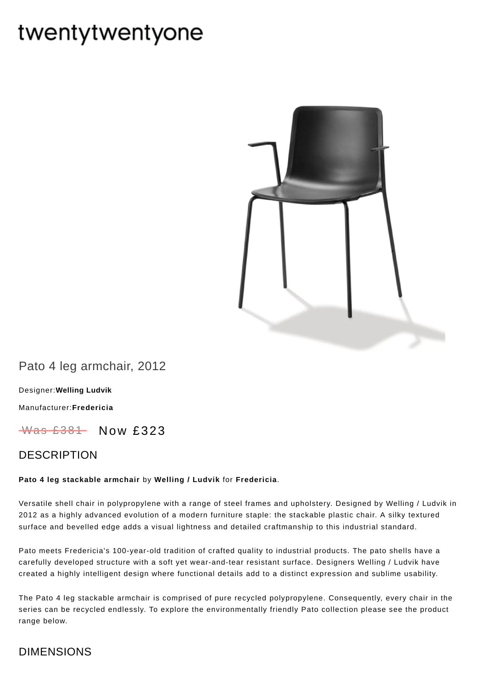# twentytwentyone



Pato 4 leg armchair, 2012

[Designer:](https://www.twentytwentyone.com/collections/designers-welling-ludvik)**Welling Ludvik**

[Manufacturer:](https://www.twentytwentyone.com/collections/manufacturers-fredericia)**Fredericia**

 $W$ as £381 Now £323

### DESCRIPTION

#### **Pato 4 leg stackable armchair** by **[Welling](http://twentytwentyone.com/designer/welling-ludvik) / Ludvik** for **[Fredericia](http://twentytwentyone.com/manufacturer/fredericia)**.

Versatile shell chair in polypropylene with a range of steel frames and upholstery. Designed by Welling / Ludvik in 2012 as a highly advanced evolution of a modern furniture staple: the stackable plastic chair. A silky textured surface and bevelled edge adds a visual lightness and detailed craftmanship to this industrial standard.

Pato meets Fredericia's 100-year-old tradition of crafted quality to industrial products. The pato shells have a carefully developed structure with a soft yet wear-and-tear resistant surface. Designers Welling / Ludvik have created a highly intelligent design where functional details add to a distinct expression and sublime usability.

The Pato 4 leg stackable armchair is comprised of pure recycled polypropylene. Consequently, every chair in the series can be recycled endlessly. To explore the environmentally friendly Pato collection please see the product range below.

# DIMENSIONS